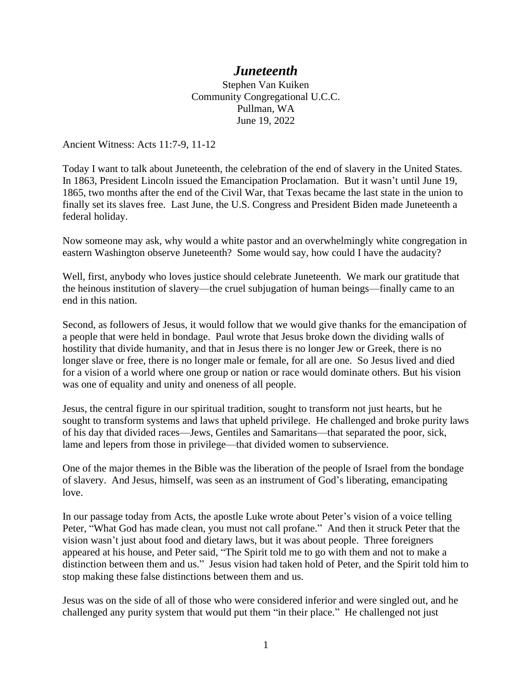## *Juneteenth*

Stephen Van Kuiken Community Congregational U.C.C. Pullman, WA June 19, 2022

Ancient Witness: Acts 11:7-9, 11-12

Today I want to talk about Juneteenth, the celebration of the end of slavery in the United States. In 1863, President Lincoln issued the Emancipation Proclamation. But it wasn't until June 19, 1865, two months after the end of the Civil War, that Texas became the last state in the union to finally set its slaves free. Last June, the U.S. Congress and President Biden made Juneteenth a federal holiday.

Now someone may ask, why would a white pastor and an overwhelmingly white congregation in eastern Washington observe Juneteenth? Some would say, how could I have the audacity?

Well, first, anybody who loves justice should celebrate Juneteenth. We mark our gratitude that the heinous institution of slavery—the cruel subjugation of human beings—finally came to an end in this nation.

Second, as followers of Jesus, it would follow that we would give thanks for the emancipation of a people that were held in bondage. Paul wrote that Jesus broke down the dividing walls of hostility that divide humanity, and that in Jesus there is no longer Jew or Greek, there is no longer slave or free, there is no longer male or female, for all are one. So Jesus lived and died for a vision of a world where one group or nation or race would dominate others. But his vision was one of equality and unity and oneness of all people.

Jesus, the central figure in our spiritual tradition, sought to transform not just hearts, but he sought to transform systems and laws that upheld privilege. He challenged and broke purity laws of his day that divided races—Jews, Gentiles and Samaritans—that separated the poor, sick, lame and lepers from those in privilege—that divided women to subservience.

One of the major themes in the Bible was the liberation of the people of Israel from the bondage of slavery. And Jesus, himself, was seen as an instrument of God's liberating, emancipating love.

In our passage today from Acts, the apostle Luke wrote about Peter's vision of a voice telling Peter, "What God has made clean, you must not call profane." And then it struck Peter that the vision wasn't just about food and dietary laws, but it was about people. Three foreigners appeared at his house, and Peter said, "The Spirit told me to go with them and not to make a distinction between them and us." Jesus vision had taken hold of Peter, and the Spirit told him to stop making these false distinctions between them and us.

Jesus was on the side of all of those who were considered inferior and were singled out, and he challenged any purity system that would put them "in their place." He challenged not just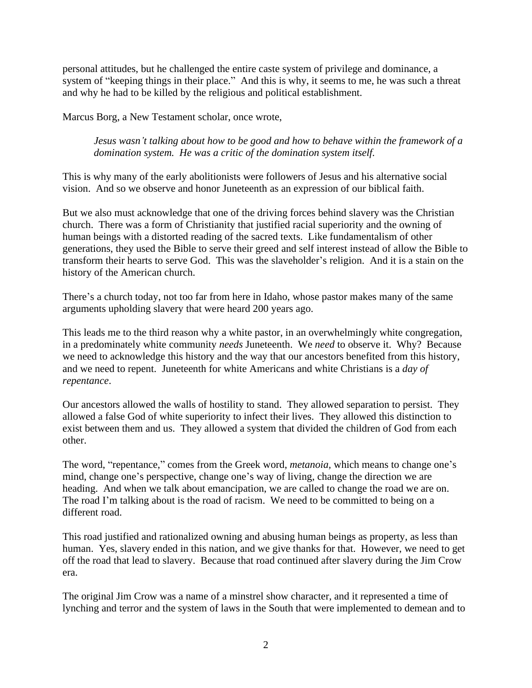personal attitudes, but he challenged the entire caste system of privilege and dominance, a system of "keeping things in their place." And this is why, it seems to me, he was such a threat and why he had to be killed by the religious and political establishment.

Marcus Borg, a New Testament scholar, once wrote,

*Jesus wasn't talking about how to be good and how to behave within the framework of a domination system. He was a critic of the domination system itself.*

This is why many of the early abolitionists were followers of Jesus and his alternative social vision. And so we observe and honor Juneteenth as an expression of our biblical faith.

But we also must acknowledge that one of the driving forces behind slavery was the Christian church. There was a form of Christianity that justified racial superiority and the owning of human beings with a distorted reading of the sacred texts. Like fundamentalism of other generations, they used the Bible to serve their greed and self interest instead of allow the Bible to transform their hearts to serve God. This was the slaveholder's religion. And it is a stain on the history of the American church.

There's a church today, not too far from here in Idaho, whose pastor makes many of the same arguments upholding slavery that were heard 200 years ago.

This leads me to the third reason why a white pastor, in an overwhelmingly white congregation, in a predominately white community *needs* Juneteenth. We *need* to observe it. Why? Because we need to acknowledge this history and the way that our ancestors benefited from this history, and we need to repent. Juneteenth for white Americans and white Christians is a *day of repentance*.

Our ancestors allowed the walls of hostility to stand. They allowed separation to persist. They allowed a false God of white superiority to infect their lives. They allowed this distinction to exist between them and us. They allowed a system that divided the children of God from each other.

The word, "repentance," comes from the Greek word, *metanoia,* which means to change one's mind, change one's perspective, change one's way of living, change the direction we are heading. And when we talk about emancipation, we are called to change the road we are on. The road I'm talking about is the road of racism. We need to be committed to being on a different road.

This road justified and rationalized owning and abusing human beings as property, as less than human. Yes, slavery ended in this nation, and we give thanks for that. However, we need to get off the road that lead to slavery. Because that road continued after slavery during the Jim Crow era.

The original Jim Crow was a name of a minstrel show character, and it represented a time of lynching and terror and the system of laws in the South that were implemented to demean and to